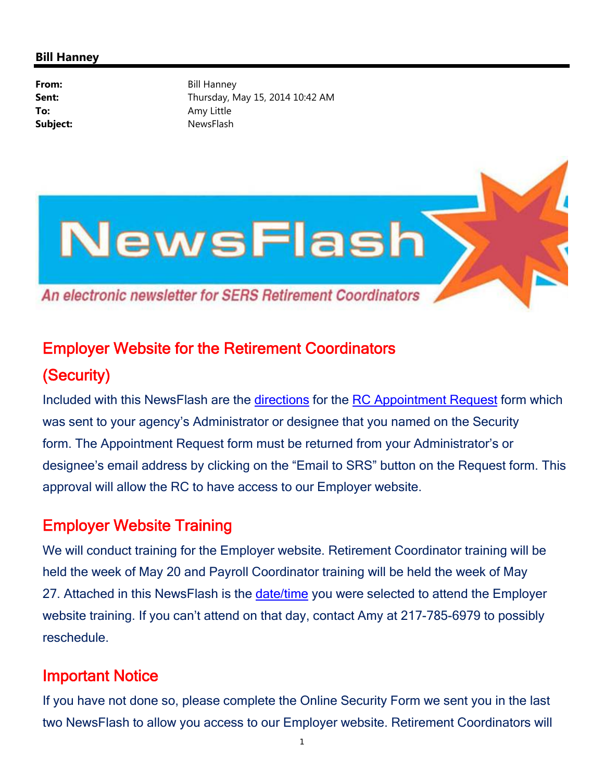## **Bill Hanney**

**From:** Bill Hanney **Sent:** Thursday, May 15, 2014 10:42 AM **To:** Amy Little Subject: NewsFlash



## Employer Website for the Retirement Coordinators (Security)

Included with this NewsFlash are the directions for the RC Appointment Request form which was sent to your agency's Administrator or designee that you named on the Security form. The Appointment Request form must be returned from your Administrator's or designee's email address by clicking on the "Email to SRS" button on the Request form. This approval will allow the RC to have access to our Employer website.

## Employer Website Training

We will conduct training for the Employer website. Retirement Coordinator training will be held the week of May 20 and Payroll Coordinator training will be held the week of May 27. Attached in this NewsFlash is the date/time you were selected to attend the Employer website training. If you can't attend on that day, contact Amy at 217-785-6979 to possibly reschedule.

## Important Notice

If you have not done so, please complete the Online Security Form we sent you in the last two NewsFlash to allow you access to our Employer website. Retirement Coordinators will